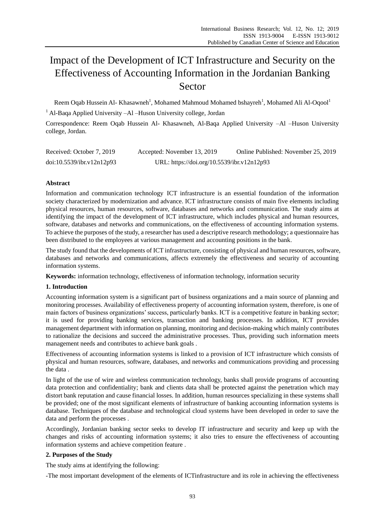# Impact of the Development of ICT Infrastructure and Security on the Effectiveness of Accounting Information in the Jordanian Banking Sector

Reem Oqab Hussein Al- Khasawneh $^{\rm l}$ , Mohamed Mahmoud Mohamed bshayreh $^{\rm l}$ , Mohamed Ali Al-Oqool $^{\rm l}$  $<sup>1</sup>$  Al-Baga Applied University –Al –Huson University college, Jordan</sup>

Correspondence: Reem Oqab Hussein Al- Khasawneh, Al-Baqa Applied University –Al –Huson University college, Jordan.

| Received: October 7, 2019 | Accepted: November 13, 2019                | Online Published: November 25, 2019 |
|---------------------------|--------------------------------------------|-------------------------------------|
| doi:10.5539/ibr.v12n12p93 | URL: https://doi.org/10.5539/ibr.v12n12p93 |                                     |

# **Abstract**

Information and communication technology ICT infrastructure is an essential foundation of the information society characterized by modernization and advance. ICT infrastructure consists of main five elements including physical resources, human resources, software, databases and networks and communication. The study aims at identifying the impact of the development of ICT infrastructure, which includes physical and human resources, software, databases and networks and communications, on the effectiveness of accounting information systems. To achieve the purposes of the study, a researcher has used a descriptive research methodology; a questionnaire has been distributed to the employees at various management and accounting positions in the bank.

The study found that the developments of ICT infrastructure, consisting of physical and human resources, software, databases and networks and communications, affects extremely the effectiveness and security of accounting information systems.

**Keywords:** information technology, effectiveness of information technology, information security

# **1. Introduction**

Accounting information system is a significant part of business organizations and a main source of planning and monitoring processes. Availability of effectiveness property of accounting information system, therefore, is one of main factors of business organizations' success, particularly banks. ICT is a competitive feature in banking sector; it is used for providing banking services, transaction and banking processes. In addition, ICT provides management department with information on planning, monitoring and decision-making which mainly contributes to rationalize the decisions and succeed the administrative processes. Thus, providing such information meets management needs and contributes to achieve bank goals .

Effectiveness of accounting information systems is linked to a provision of ICT infrastructure which consists of physical and human resources, software, databases, and networks and communications providing and processing the data .

In light of the use of wire and wireless communication technology, banks shall provide programs of accounting data protection and confidentiality; bank and clients data shall be protected against the penetration which may distort bank reputation and cause financial losses. In addition, human resources specializing in these systems shall be provided; one of the most significant elements of infrastructure of banking accounting information systems is database. Techniques of the database and technological cloud systems have been developed in order to save the data and perform the processes .

Accordingly, Jordanian banking sector seeks to develop IT infrastructure and security and keep up with the changes and risks of accounting information systems; it also tries to ensure the effectiveness of accounting information systems and achieve competition feature .

## **2. Purposes of the Study**

The study aims at identifying the following:

-The most important development of the elements of ICTinfrastructure and its role in achieving the effectiveness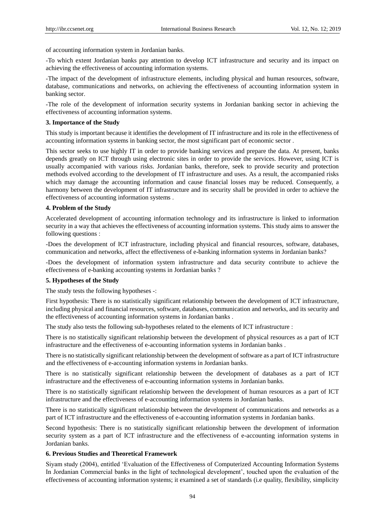of accounting information system in Jordanian banks.

-To which extent Jordanian banks pay attention to develop ICT infrastructure and security and its impact on achieving the effectiveness of accounting information systems.

-The impact of the development of infrastructure elements, including physical and human resources, software, database, communications and networks, on achieving the effectiveness of accounting information system in banking sector.

-The role of the development of information security systems in Jordanian banking sector in achieving the effectiveness of accounting information systems.

#### **3. Importance of the Study**

This study is important because it identifies the development of IT infrastructure and its role in the effectiveness of accounting information systems in banking sector, the most significant part of economic sector .

This sector seeks to use highly IT in order to provide banking services and prepare the data. At present, banks depends greatly on ICT through using electronic sites in order to provide the services. However, using ICT is usually accompanied with various risks. Jordanian banks, therefore, seek to provide security and protection methods evolved according to the development of IT infrastructure and uses. As a result, the accompanied risks which may damage the accounting information and cause financial losses may be reduced. Consequently, a harmony between the development of IT infrastructure and its security shall be provided in order to achieve the effectiveness of accounting information systems .

#### **4. Problem of the Study**

Accelerated development of accounting information technology and its infrastructure is linked to information security in a way that achieves the effectiveness of accounting information systems. This study aims to answer the following questions :

-Does the development of ICT infrastructure, including physical and financial resources, software, databases, communication and networks, affect the effectiveness of e-banking information systems in Jordanian banks?

-Does the development of information system infrastructure and data security contribute to achieve the effectiveness of e-banking accounting systems in Jordanian banks ?

#### **5. Hypotheses of the Study**

The study tests the following hypotheses -:

First hypothesis: There is no statistically significant relationship between the development of ICT infrastructure, including physical and financial resources, software, databases, communication and networks, and its security and the effectiveness of accounting information systems in Jordanian banks .

The study also tests the following sub-hypotheses related to the elements of ICT infrastructure :

There is no statistically significant relationship between the development of physical resources as a part of ICT infrastructure and the effectiveness of e-accounting information systems in Jordanian banks .

There is no statistically significant relationship between the development of software as a part of ICT infrastructure and the effectiveness of e-accounting information systems in Jordanian banks.

There is no statistically significant relationship between the development of databases as a part of ICT infrastructure and the effectiveness of e-accounting information systems in Jordanian banks.

There is no statistically significant relationship between the development of human resources as a part of ICT infrastructure and the effectiveness of e-accounting information systems in Jordanian banks.

There is no statistically significant relationship between the development of communications and networks as a part of ICT infrastructure and the effectiveness of e-accounting information systems in Jordanian banks.

Second hypothesis: There is no statistically significant relationship between the development of information security system as a part of ICT infrastructure and the effectiveness of e-accounting information systems in Jordanian banks.

## **6. Previous Studies and Theoretical Framework**

Siyam study (2004), entitled 'Evaluation of the Effectiveness of Computerized Accounting Information Systems In Jordanian Commercial banks in the light of technological development', touched upon the evaluation of the effectiveness of accounting information systems; it examined a set of standards (i.e quality, flexibility, simplicity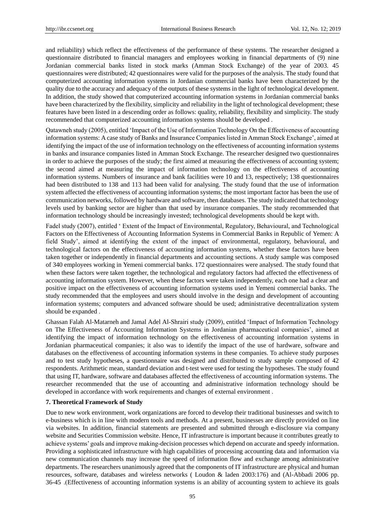and reliability) which reflect the effectiveness of the performance of these systems. The researcher designed a questionnaire distributed to financial managers and employees working in financial departments of (9) nine Jordanian commercial banks listed in stock marks (Amman Stock Exchange) of the year of 2003. 45 questionnaires were distributed; 42 questionnaires were valid for the purposes of the analysis. The study found that computerized accounting information systems in Jordanian commercial banks have been characterized by the quality due to the accuracy and adequacy of the outputs of these systems in the light of technological development. In addition, the study showed that computerized accounting information systems in Jordanian commercial banks have been characterized by the flexibility, simplicity and reliability in the light of technological development; these features have been listed in a descending order as follows: quality, reliability, flexibility and simplicity. The study recommended that computerized accounting information systems should be developed .

Qatawneh study (2005), entitled 'Impact of the Use of Information Technology On the Effectiveness of accounting information systems: A case study of Banks and Insurance Companies listed in Amman Stock Exchange', aimed at identifying the impact of the use of information technology on the effectiveness of accounting information systems in banks and insurance companies listed in Amman Stock Exchange. The researcher designed two questionnaires in order to achieve the purposes of the study; the first aimed at measuring the effectiveness of accounting system; the second aimed at measuring the impact of information technology on the effectiveness of accounting information systems. Numbers of insurance and bank facilities were 10 and 13, respectively; 138 questionnaires had been distributed to 138 and 113 had been valid for analysing. The study found that the use of information system affected the effectiveness of accounting information systems; the most important factor has been the use of communication networks, followed by hardware and software, then databases. The study indicated that technology levels used by banking sector are higher than that used by insurance companies. The study recommended that information technology should be increasingly invested; technological developments should be kept with.

Fadel study (2007), entitled ' Extent of the Impact of Environmental, Regulatory, Behavioural, and Technological Factors on the Effectiveness of Accounting Information Systems in Commercial Banks in Republic of Yemen: A field Study', aimed at identifying the extent of the impact of environmental, regulatory, behavioural, and technological factors on the effectiveness of accounting information systems, whether these factors have been taken together or independently in financial departments and accounting sections. A study sample was composed of 340 employees working in Yemeni commercial banks. 172 questionnaires were analysed. The study found that when these factors were taken together, the technological and regulatory factors had affected the effectiveness of accounting information system. However, when these factors were taken independently, each one had a clear and positive impact on the effectiveness of accounting information systems used in Yemeni commercial banks. The study recommended that the employees and users should involve in the design and development of accounting information systems; computers and advanced software should be used; administrative decentralization system should be expanded .

Ghassan Falah Al-Matarneh and Jamal Adel Al-Shrairi study (2009), entitled 'Impact of Information Technology on The Effectiveness of Accounting Information Systems in Jordanian pharmaceutical companies', aimed at identifying the impact of information technology on the effectiveness of accounting information systems in Jordanian pharmaceutical companies; it also was to identify the impact of the use of hardware, software and databases on the effectiveness of accounting information systems in these companies. To achieve study purposes and to test study hypotheses, a questionnaire was designed and distributed to study sample composed of 42 respondents. Arithmetic mean, standard deviation and t-test were used for testing the hypotheses. The study found that using IT, hardware, software and databases affected the effectiveness of accounting information systems. The researcher recommended that the use of accounting and administrative information technology should be developed in accordance with work requirements and changes of external environment .

#### **7. Theoretical Framework of Study**

Due to new work environment, work organizations are forced to develop their traditional businesses and switch to e-business which is in line with modern tools and methods. At a present, businesses are directly provided on line via websites. In addition, financial statements are presented and submitted through e-disclosure via company website and Securities Commission website. Hence, IT infrastructure is important because it contributes greatly to achieve systems' goals and improve making-decision processes which depend on accurate and speedy information. Providing a sophisticated infrastructure with high capabilities of processing accounting data and information via new communication channels may increase the speed of information flow and exchange among administrative departments. The researchers unanimously agreed that the components of IT infrastructure are physical and human resources, software, databases and wireless networks ( Loudon & laden 2003:176) and (Al-Abbadi 2006 pp. 36-45 .)Effectiveness of accounting information systems is an ability of accounting system to achieve its goals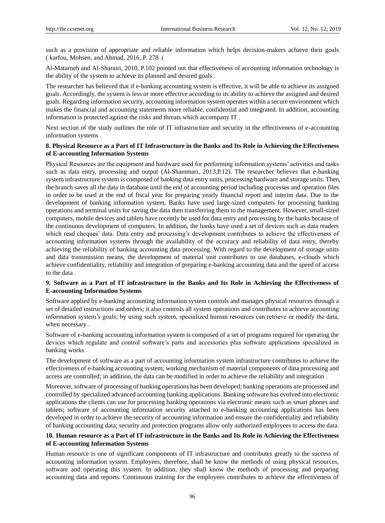such as a provision of appropriate and reliable information which helps decision-makers achieve their goals ( karfou, Mohsen, and Ahmad, 2016, P. 278 .)

Al-Matarneh and Al-Sharairi, 2010, P.102 pointed out that effectiveness of accounting information technology is the ability of the system to achieve its planned and desired goals .

The researcher has believed that if e-banking accounting system is effective, it will be able to achieve its assigned goals. Accordingly, the system is less or more effective according to its ability to achieve the assigned and desired goals. Regarding information security, accounting information system operates within a secure environment which makes the financial and accounting statements more reliable, confidential and integrated. In addition, accounting information is protected against the risks and threats which accompany IT .

Next section of the study outlines the role of IT infrastructure and security in the effectiveness of e-accounting information systems .

## **8. Physical Resource as a Part of IT Infrastructure in the Banks and Its Role in Achieving the Effectiveness of E-accounting Information Systems**

Physical Resources are the equipment and hardware used for performing information systems' activities and tasks such as data entry, processing and output (Al-Shammari, 2013, P.12). The researcher believes that e-banking system infrastructure system is composed of banking data entry units, processing hardware and storage units. Then, the branch saves all the data in database until the end of accounting period including processes and operation files in order to be used at the end of fiscal year for preparing yearly financial report and interim data. Due to the development of banking information system, Banks have used large-sized computers for processing banking operations and terminal units for saving the data then transferring them to the management. However, small-sized computers, mobile devices and tablets have recently be used for data entry and processing by the banks because of the continuous development of computers. In addition, the banks have used a set of devices such as data readers which read cheques' data. Data entry and processing's development contributes to achieve the effectiveness of accounting information systems through the availability of the accuracy and reliability of data entry, thereby achieving the reliability of banking accounting data processing. With regard to the development of storage units and data transmission means, the development of material unit contributes to use databases, e-clouds which achieve confidentiality, reliability and integration of preparing e-banking accounting data and the speed of access to the data .

## **9. Software as a Part of IT infrastructure in the Banks and Its Role in Achieving the Effectiveness of E-accounting Information Systems**

Software applied by e-banking accounting information system controls and manages physical resources through a set of detailed instructions and orders; it also controls all system operations and contributes to achieve accounting information system's goals; by using such system, specialized human resources can retrieve or modify the data, when necessary .

Software of e-banking accounting information system is composed of a set of programs required for operating the devices which regulate and control software's parts and accessories plus software applications specialized in banking works .

The development of software as a part of accounting information system infrastructure contributes to achieve the effectiveness of e-banking accounting system; working mechanism of material components of data processing and access are controlled; in addition, the data can be modified in order to achieve the reliability and integration .

Moreover, software of processing of banking operations has been developed; banking operations are processed and controlled by specialized advanced accounting banking applications. Banking software has evolved into electronic applications the clients can use for processing banking operations via electronic means such as smart phones and tablets; software of accounting information security attached to e-banking accounting applications has been developed in order to achieve the security of accounting information and ensure the confidentiality and reliability of banking accounting data; security and protection programs allow only authorized employees to access the data.

## **10. Human resource as a Part of IT infrastructure in the Banks and Its Role in Achieving the Effectiveness of E-accounting Information Systems**

Human resource is one of significant components of IT infrastructure and contributes greatly to the success of accounting information system. Employees, therefore, shall be know the methods of using physical resources, software and operating this system. In addition, they shall know the methods of processing and preparing accounting data and reports. Continuous training for the employees contributes to achieve the effectiveness of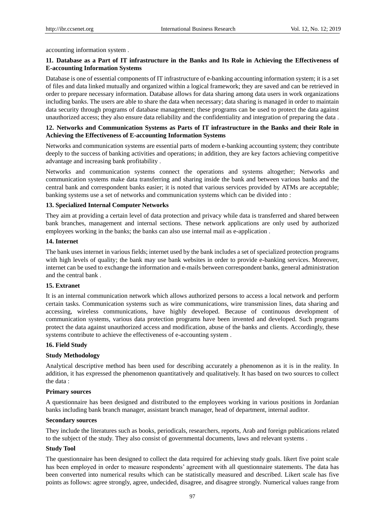accounting information system .

# **11. Database as a Part of IT infrastructure in the Banks and Its Role in Achieving the Effectiveness of E-accounting Information Systems**

Database is one of essential components of IT infrastructure of e-banking accounting information system; it is a set of files and data linked mutually and organized within a logical framework; they are saved and can be retrieved in order to prepare necessary information. Database allows for data sharing among data users in work organizations including banks. The users are able to share the data when necessary; data sharing is managed in order to maintain data security through programs of database management; these programs can be used to protect the data against unauthorized access; they also ensure data reliability and the confidentiality and integration of preparing the data .

# **12. Networks and Communication Systems as Parts of IT infrastructure in the Banks and their Role in Achieving the Effectiveness of E-accounting Information Systems**

Networks and communication systems are essential parts of modern e-banking accounting system; they contribute deeply to the success of banking activities and operations; in addition, they are key factors achieving competitive advantage and increasing bank profitability .

Networks and communication systems connect the operations and systems altogether; Networks and communication systems make data transferring and sharing inside the bank and between various banks and the central bank and correspondent banks easier; it is noted that various services provided by ATMs are acceptable; banking systems use a set of networks and communication systems which can be divided into :

#### **13. Specialized Internal Computer Networks**

They aim at providing a certain level of data protection and privacy while data is transferred and shared between bank branches, management and internal sections. These network applications are only used by authorized employees working in the banks; the banks can also use internal mail as e-application .

#### **14. Internet**

The bank uses internet in various fields; internet used by the bank includes a set of specialized protection programs with high levels of quality; the bank may use bank websites in order to provide e-banking services. Moreover, internet can be used to exchange the information and e-mails between correspondent banks, general administration and the central bank .

#### **15. Extranet**

It is an internal communication network which allows authorized persons to access a local network and perform certain tasks. Communication systems such as wire communications, wire transmission lines, data sharing and accessing, wireless communications, have highly developed. Because of continuous development of communication systems, various data protection programs have been invented and developed. Such programs protect the data against unauthorized access and modification, abuse of the banks and clients. Accordingly, these systems contribute to achieve the effectiveness of e-accounting system .

#### **16. Field Study**

#### **Study Methodology**

Analytical descriptive method has been used for describing accurately a phenomenon as it is in the reality. In addition, it has expressed the phenomenon quantitatively and qualitatively. It has based on two sources to collect the data :

#### **Primary sources**

A questionnaire has been designed and distributed to the employees working in various positions in Jordanian banks including bank branch manager, assistant branch manager, head of department, internal auditor.

## **Secondary sources**

They include the literatures such as books, periodicals, researchers, reports, Arab and foreign publications related to the subject of the study. They also consist of governmental documents, laws and relevant systems .

# **Study Tool**

The questionnaire has been designed to collect the data required for achieving study goals. likert five point scale has been employed in order to measure respondents' agreement with all questionnaire statements. The data has been converted into numerical results which can be statistically measured and described. Likert scale has five points as follows: agree strongly, agree, undecided, disagree, and disagree strongly. Numerical values range from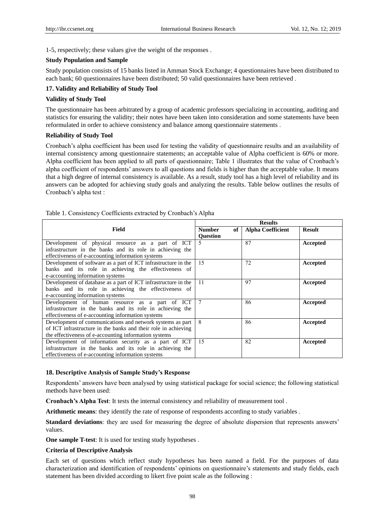1-5, respectively; these values give the weight of the responses .

## **Study Population and Sample**

Study population consists of 15 banks listed in Amman Stock Exchange; 4 questionnaires have been distributed to each bank; 60 questionnaires have been distributed; 50 valid questionnaires have been retrieved .

## **17. Validity and Reliability of Study Tool**

#### **Validity of Study Tool**

The questionnaire has been arbitrated by a group of academic professors specializing in accounting, auditing and statistics for ensuring the validity; their notes have been taken into consideration and some statements have been reformulated in order to achieve consistency and balance among questionnaire statements .

#### **Reliability of Study Tool**

Cronbach's alpha coefficient has been used for testing the validity of questionnaire results and an availability of internal consistency among questionnaire statements; an acceptable value of Alpha coefficient is 60% or more. Alpha coefficient has been applied to all parts of questionnaire; Table 1 illustrates that the value of Cronbach's alpha coefficient of respondents' answers to all questions and fields is higher than the acceptable value. It means that a high degree of internal consistency is available. As a result, study tool has a high level of reliability and its answers can be adopted for achieving study goals and analyzing the results. Table below outlines the results of Cronbach's alpha test :

|                                                                |                     | <b>Results</b>           |               |
|----------------------------------------------------------------|---------------------|--------------------------|---------------|
| Field                                                          | of<br><b>Number</b> | <b>Alpha Coefficient</b> | <b>Result</b> |
|                                                                | <b>Ouestion</b>     |                          |               |
| Development of physical resource as a part of ICT              | 5                   | 87                       | Accepted      |
| infrastructure in the banks and its role in achieving the      |                     |                          |               |
| effectiveness of e-accounting information systems              |                     |                          |               |
| Development of software as a part of ICT infrastructure in the | 15                  | 72                       | Accepted      |
| banks and its role in achieving the effectiveness of           |                     |                          |               |
| e-accounting information systems                               |                     |                          |               |
| Development of database as a part of ICT infrastructure in the | 11                  | 97                       | Accepted      |
| banks and its role in achieving the effectiveness of           |                     |                          |               |
| e-accounting information systems                               |                     |                          |               |
| Development of human resource as a part of ICT                 | 7                   | 86                       | Accepted      |
| infrastructure in the banks and its role in achieving the      |                     |                          |               |
| effectiveness of e-accounting information systems              |                     |                          |               |
| Development of communications and network systems as part      | 8                   | 86                       | Accepted      |
| of ICT infrastructure in the banks and their role in achieving |                     |                          |               |
| the effectiveness of e-accounting information systems          |                     |                          |               |
| Development of information security as a part of ICT           | 15                  | 82                       | Accepted      |
| infrastructure in the banks and its role in achieving the      |                     |                          |               |
| effectiveness of e-accounting information systems              |                     |                          |               |

#### Table 1. Consistency Coefficients extracted by Cronbach's Alpha

#### **18. Descriptive Analysis of Sample Study's Response**

Respondents' answers have been analysed by using statistical package for social science; the following statistical methods have been used:

**Cronbach's Alpha Test**: It tests the internal consistency and reliability of measurement tool .

**Arithmetic means**: they identify the rate of response of respondents according to study variables .

**Standard deviations**: they are used for measuring the degree of absolute dispersion that represents answers' values.

**One sample T-test**: It is used for testing study hypotheses .

## **Criteria of Descriptive Analysis**

Each set of questions which reflect study hypotheses has been named a field. For the purposes of data characterization and identification of respondents' opinions on questionnaire's statements and study fields, each statement has been divided according to likert five point scale as the following :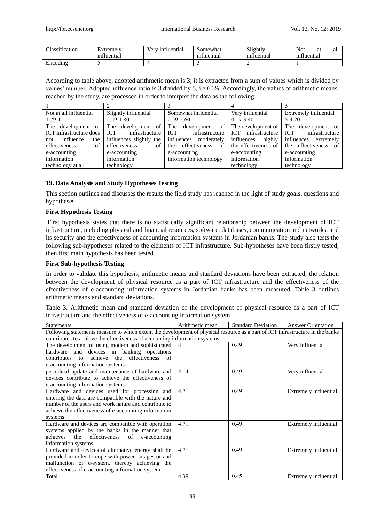| $\cdot$ $\sim$<br>$\sim$ 1<br>lassification. | Extremely   | Very influential | Somewhat    | Slightly              | Not<br>at<br>all |
|----------------------------------------------|-------------|------------------|-------------|-----------------------|------------------|
|                                              | influential |                  | influential | $\sim$<br>influential | influential      |
| $\cdot$ $\cdot$<br>Encoding                  |             |                  |             |                       |                  |

According to table above, adopted arithmetic mean is 3; it is extracted from a sum of values which is divided by values' number. Adopted influence ratio is 3 divided by 5, i.e 60%. Accordingly, the values of arithmetic means, reached by the study, are processed in order to interpret the data as the following:

| Not at all influential    | Slightly influential                  | Somewhat influential    | Very influential       | Extremely influential        |  |
|---------------------------|---------------------------------------|-------------------------|------------------------|------------------------------|--|
| $1.79-1$                  | $2.59 - 1.80$                         | $2.59 - 2.60$           | $4.19 - 3.40$          | $5 - 4.20$                   |  |
|                           | The development of The development of | The development of      | The development of     | The development of           |  |
| ICT infrastructure does   | infrastructure<br>ICT                 | ICT<br>infrastructure   | ICT infrastructure     | infrastructure<br><b>ICT</b> |  |
| the 1<br>influence<br>not | influences slightly the               | influences moderately   | influences highly      | influences extremely         |  |
| effectiveness<br>of       | effectiveness<br>of <sup>1</sup>      | effectiveness of<br>the | the effectiveness of 1 | the effectiveness of         |  |
| e-accounting              | e-accounting                          | e-accounting            | e-accounting           | e-accounting                 |  |
| information               | information                           | information technology  | information            | information                  |  |
| technology at all         | technology                            |                         | technology             | technology                   |  |

## **19. Data Analysis and Study Hypotheses Testing**

This section outlines and discusses the results the field study has reached in the light of study goals, questions and hypotheses .

# **First Hypothesis Testing**

First hypothesis states that there is no statistically significant relationship between the development of ICT infrastructure, including physical and financial resources, software, databases, communication and networks, and its security and the effectiveness of accounting information systems in Jordanian banks. The study also tests the following sub-hypotheses related to the elements of ICT infrastructure. Sub-hypotheses have been firstly tested; then first main hypothesis has been tested .

## **First Sub-hypothesis Testing**

In order to validate this hypothesis, arithmetic means and standard deviations have been extracted; the relation between the development of physical resource as a part of ICT infrastructure and the effectiveness of the effectiveness of e-accounting information systems in Jordanian banks has been measured. Table 3 outlines arithmetic means and standard deviations.

Table 3. Arithmetic mean and standard deviation of the development of physical resource as a part of ICT infrastructure and the effectiveness of e-accounting information system

| <b>Statements</b>                                                                                                              | Arithmetic mean | <b>Standard Deviation</b> | <b>Answer Orientation</b> |
|--------------------------------------------------------------------------------------------------------------------------------|-----------------|---------------------------|---------------------------|
| Following statements measure to which extent the development of physical resource as a part of ICT infrastructure in the banks |                 |                           |                           |
| contributes to achieve the effectiveness of accounting information systems:                                                    |                 |                           |                           |
| The development of using modern and sophisticated                                                                              | 4               | 0.49                      | Very influential          |
| hardware and devices in banking operations                                                                                     |                 |                           |                           |
| effectiveness of<br>achieve the<br>contributes to                                                                              |                 |                           |                           |
| e-accounting information systems                                                                                               |                 |                           |                           |
| periodical update and maintenance of hardware and                                                                              | 4.14            | 0.49                      | Very influential          |
| devices contribute to achieve the effectiveness of                                                                             |                 |                           |                           |
| e-accounting information systems                                                                                               |                 |                           |                           |
| Hardware and devices used for processing and                                                                                   | 4.71            | 0.49                      | Extremely influential     |
| entering the data are compatible with the nature and                                                                           |                 |                           |                           |
| number of the users and work nature and contribute to                                                                          |                 |                           |                           |
| achieve the effectiveness of e-accounting information                                                                          |                 |                           |                           |
| systems                                                                                                                        |                 |                           |                           |
| Hardware and devices are compatible with operation                                                                             | 4.71            | 0.49                      | Extremely influential     |
| systems applied by the banks in the manner that                                                                                |                 |                           |                           |
| effectiveness of<br>achieves<br>the<br>e-accounting                                                                            |                 |                           |                           |
| information systems                                                                                                            |                 |                           |                           |
| Hardware and devices of alternative energy shall be                                                                            | 4.71            | 0.49                      | Extremely influential     |
| provided in order to cope with power outages or and                                                                            |                 |                           |                           |
| malfunction of e-system, thereby achieving the                                                                                 |                 |                           |                           |
| effectiveness of e-accounting information system                                                                               |                 |                           |                           |
| Total                                                                                                                          | 4.39            | 0.45                      | Extremely influential     |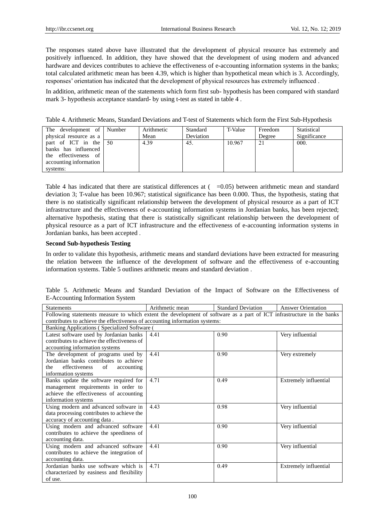The responses stated above have illustrated that the development of physical resource has extremely and positively influenced. In addition, they have showed that the development of using modern and advanced hardware and devices contributes to achieve the effectiveness of e-accounting information systems in the banks; total calculated arithmetic mean has been 4.39, which is higher than hypothetical mean which is 3. Accordingly, responses' orientation has indicated that the development of physical resources has extremely influenced .

In addition, arithmetic mean of the statements which form first sub- hypothesis has been compared with standard mark 3- hypothesis acceptance standard- by using t-test as stated in table 4 .

| The development of Number<br>physical resource as a                                                                         | Arithmetic<br>Mean | Standard<br>Deviation | T-Value | Freedom<br>Degree | Statistical<br>Significance |
|-----------------------------------------------------------------------------------------------------------------------------|--------------------|-----------------------|---------|-------------------|-----------------------------|
| part of ICT in the $\vert 50 \rangle$<br>banks has influenced<br>the effectiveness of<br>accounting information<br>systems: | 4.39               | 45.                   | 10.967  | 21                | 000.                        |

Table 4. Arithmetic Means, Standard Deviations and T-test of Statements which form the First Sub-Hypothesis

Table 4 has indicated that there are statistical differences at  $($  =0.05) between arithmetic mean and standard deviation 3; T-value has been 10.967; statistical significance has been 0.000. Thus, the hypothesis, stating that there is no statistically significant relationship between the development of physical resource as a part of ICT infrastructure and the effectiveness of e-accounting information systems in Jordanian banks, has been rejected; alternative hypothesis, stating that there is statistically significant relationship between the development of physical resource as a part of ICT infrastructure and the effectiveness of e-accounting information systems in Jordanian banks, has been accepted .

# **Second Sub-hypothesis Testing**

In order to validate this hypothesis, arithmetic means and standard deviations have been extracted for measuring the relation between the influence of the development of software and the effectiveness of e-accounting information systems. Table 5 outlines arithmetic means and standard deviation .

| <b>Statements</b>                                                                                                     | Arithmetic mean | <b>Standard Deviation</b> | <b>Answer Orientation</b> |
|-----------------------------------------------------------------------------------------------------------------------|-----------------|---------------------------|---------------------------|
| Following statements measure to which extent the development of software as a part of ICT infrastructure in the banks |                 |                           |                           |
| contributes to achieve the effectiveness of accounting information systems:                                           |                 |                           |                           |
| Banking Applications (Specialized Software (                                                                          |                 |                           |                           |
| Latest software used by Jordanian banks                                                                               | 4.41            | 0.90                      | Very influential          |
| contributes to achieve the effectiveness of                                                                           |                 |                           |                           |
| accounting information systems                                                                                        |                 |                           |                           |
| The development of programs used by                                                                                   | 4.41            | 0.90                      | Very extremely            |
| Jordanian banks contributes to achieve                                                                                |                 |                           |                           |
| effectiveness<br>of<br>the<br>accounting                                                                              |                 |                           |                           |
| information systems                                                                                                   |                 |                           |                           |
| Banks update the software required for                                                                                | 4.71            | 0.49                      | Extremely influential     |
| management requirements in order to                                                                                   |                 |                           |                           |
| achieve the effectiveness of accounting                                                                               |                 |                           |                           |
| information systems                                                                                                   |                 |                           |                           |
| Using modern and advanced software in                                                                                 | 4.43            | 0.98                      | Very influential          |
| data processing contributes to achieve the<br>accuracy of accounting data.                                            |                 |                           |                           |
| Using modern and advanced software                                                                                    | 4.41            | 0.90                      | Very influential          |
| contributes to achieve the speediness of                                                                              |                 |                           |                           |
| accounting data.                                                                                                      |                 |                           |                           |
| Using modern and advanced software                                                                                    | 4.41            | 0.90                      | Very influential          |
| contributes to achieve the integration of                                                                             |                 |                           |                           |
| accounting data.                                                                                                      |                 |                           |                           |
| Jordanian banks use software which is                                                                                 | 4.71            | 0.49                      | Extremely influential     |
| characterized by easiness and flexibility                                                                             |                 |                           |                           |
| of use.                                                                                                               |                 |                           |                           |
|                                                                                                                       |                 |                           |                           |

|                                        |  |  |  |  |  | Table 5. Arithmetic Means and Standard Deviation of the Impact of Software on the Effectiveness of |  |
|----------------------------------------|--|--|--|--|--|----------------------------------------------------------------------------------------------------|--|
| <b>E-Accounting Information System</b> |  |  |  |  |  |                                                                                                    |  |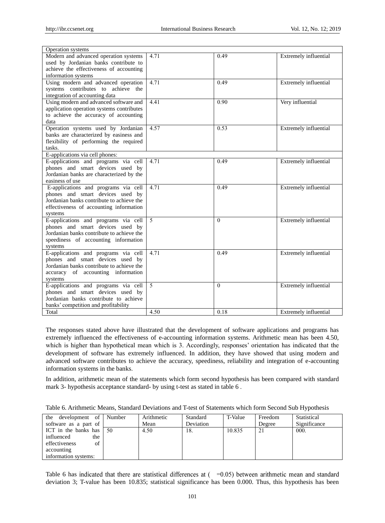| Operation systems                         |                |          |                       |
|-------------------------------------------|----------------|----------|-----------------------|
| Modern and advanced operation systems     | 4.71           | 0.49     | Extremely influential |
| used by Jordanian banks contribute to     |                |          |                       |
| achieve the effectiveness of accounting   |                |          |                       |
| information systems                       |                |          |                       |
| Using modern and advanced operation       | 4.71           | 0.49     | Extremely influential |
| systems contributes to achieve the        |                |          |                       |
| integration of accounting data            |                |          |                       |
| Using modern and advanced software and    | 4.41           | 0.90     | Very influential      |
| application operation systems contributes |                |          |                       |
| to achieve the accuracy of accounting     |                |          |                       |
| data                                      |                |          |                       |
| Operation systems used by Jordanian       | 4.57           | 0.53     | Extremely influential |
| banks are characterized by easiness and   |                |          |                       |
| flexibility of performing the required    |                |          |                       |
| tasks.                                    |                |          |                       |
| E-applications via cell phones:           |                |          |                       |
| E-applications and programs via cell      | 4.71           | 0.49     | Extremely influential |
| phones and smart devices used by          |                |          |                       |
| Jordanian banks are characterized by the  |                |          |                       |
| easiness of use                           |                |          |                       |
| E-applications and programs via cell      | 4.71           | 0.49     | Extremely influential |
| phones and smart devices used by          |                |          |                       |
| Jordanian banks contribute to achieve the |                |          |                       |
| effectiveness of accounting information   |                |          |                       |
| systems                                   |                |          |                       |
| E-applications and programs via cell      | $\overline{5}$ | $\Omega$ | Extremely influential |
| phones and smart devices used by          |                |          |                       |
| Jordanian banks contribute to achieve the |                |          |                       |
| speediness of accounting information      |                |          |                       |
| systems                                   |                |          |                       |
| E-applications and programs via cell      | 4.71           | 0.49     | Extremely influential |
| phones and smart devices used by          |                |          |                       |
| Jordanian banks contribute to achieve the |                |          |                       |
| accuracy of accounting information        |                |          |                       |
| systems                                   |                |          |                       |
| E-applications and programs via cell      | $\overline{5}$ | $\Omega$ | Extremely influential |
| phones and smart devices used by          |                |          |                       |
| Jordanian banks contribute to achieve     |                |          |                       |
| banks' competition and profitability      |                |          |                       |
| Total                                     | 4.50           | 0.18     | Extremely influential |

The responses stated above have illustrated that the development of software applications and programs has extremely influenced the effectiveness of e-accounting information systems. Arithmetic mean has been 4.50, which is higher than hypothetical mean which is 3. Accordingly, responses' orientation has indicated that the development of software has extremely influenced. In addition, they have showed that using modern and advanced software contributes to achieve the accuracy, speediness, reliability and integration of e-accounting information systems in the banks.

In addition, arithmetic mean of the statements which form second hypothesis has been compared with standard mark 3- hypothesis acceptance standard- by using t-test as stated in table 6 .

| the development of Number<br>software as a part of | Arithmetic<br>Mean | Standard<br>Deviation | T-Value | Freedom<br>Degree | Statistical<br>Significance |
|----------------------------------------------------|--------------------|-----------------------|---------|-------------------|-----------------------------|
| ICT in the banks has $\vert$ 50                    | 4.50               | 18.                   | 10.835  | 21                | 000.                        |
| influenced<br>the                                  |                    |                       |         |                   |                             |
| of<br>effectiveness                                |                    |                       |         |                   |                             |
| accounting                                         |                    |                       |         |                   |                             |
| information systems:                               |                    |                       |         |                   |                             |

Table 6 has indicated that there are statistical differences at  $($  =0.05) between arithmetic mean and standard deviation 3; T-value has been 10.835; statistical significance has been 0.000. Thus, this hypothesis has been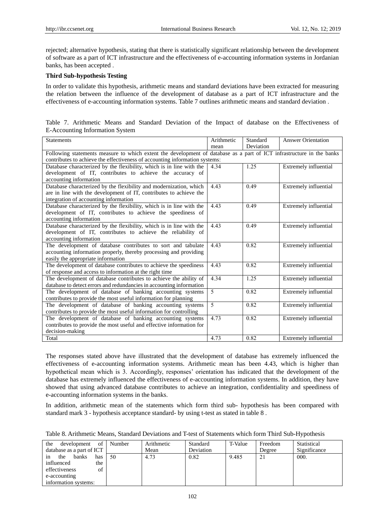rejected; alternative hypothesis, stating that there is statistically significant relationship between the development of software as a part of ICT infrastructure and the effectiveness of e-accounting information systems in Jordanian banks, has been accepted .

## **Third Sub-hypothesis Testing**

In order to validate this hypothesis, arithmetic means and standard deviations have been extracted for measuring the relation between the influence of the development of database as a part of ICT infrastructure and the effectiveness of e-accounting information systems. Table 7 outlines arithmetic means and standard deviation .

|  |                                 |  |  |  |  |  | Table 7. Arithmetic Means and Standard Deviation of the Impact of database on the Effectiveness of |  |
|--|---------------------------------|--|--|--|--|--|----------------------------------------------------------------------------------------------------|--|
|  | E-Accounting Information System |  |  |  |  |  |                                                                                                    |  |

| <b>Statements</b>                                                                                                     | Arithmetic | Standard  | <b>Answer Orientation</b> |
|-----------------------------------------------------------------------------------------------------------------------|------------|-----------|---------------------------|
|                                                                                                                       | mean       | Deviation |                           |
| Following statements measure to which extent the development of database as a part of ICT infrastructure in the banks |            |           |                           |
| contributes to achieve the effectiveness of accounting information systems:                                           |            |           |                           |
| Database characterized by the flexibility, which is in line with the                                                  | 4.34       | 1.25      | Extremely influential     |
| development of IT, contributes to achieve the accuracy of                                                             |            |           |                           |
| accounting information                                                                                                |            |           |                           |
| Database characterized by the flexibility and modernization, which                                                    | 4.43       | 0.49      | Extremely influential     |
| are in line with the development of IT, contributes to achieve the                                                    |            |           |                           |
| integration of accounting information                                                                                 |            |           |                           |
| Database characterized by the flexibility, which is in line with the                                                  | 4.43       | 0.49      | Extremely influential     |
| development of IT, contributes to achieve the speediness of                                                           |            |           |                           |
| accounting information                                                                                                |            |           |                           |
| Database characterized by the flexibility, which is in line with the                                                  | 4.43       | 0.49      | Extremely influential     |
| development of IT, contributes to achieve the reliability of                                                          |            |           |                           |
| accounting information                                                                                                |            |           |                           |
| The development of database contributes to sort and tabulate                                                          | 4.43       | 0.82      | Extremely influential     |
| accounting information properly, thereby processing and providing                                                     |            |           |                           |
| easily the appropriate information                                                                                    |            |           |                           |
| The development of database contributes to achieve the speediness                                                     | 4.43       | 0.82      | Extremely influential     |
| of response and access to information at the right time                                                               |            |           |                           |
| The development of database contributes to achieve the ability of                                                     | 4.34       | 1.25      | Extremely influential     |
| database to detect errors and redundancies in accounting information                                                  |            |           |                           |
| The development of database of banking accounting systems                                                             | 5          | 0.82      | Extremely influential     |
| contributes to provide the most useful information for planning                                                       |            |           |                           |
| The development of database of banking accounting systems                                                             | 5          | 0.82      | Extremely influential     |
| contributes to provide the most useful information for controlling                                                    |            |           |                           |
| The development of database of banking accounting systems                                                             | 4.73       | 0.82      | Extremely influential     |
| contributes to provide the most useful and effective information for                                                  |            |           |                           |
| decision-making                                                                                                       |            |           |                           |
| Total                                                                                                                 | 4.73       | 0.82      | Extremely influential     |

The responses stated above have illustrated that the development of database has extremely influenced the effectiveness of e-accounting information systems. Arithmetic mean has been 4.43, which is higher than hypothetical mean which is 3. Accordingly, responses' orientation has indicated that the development of the database has extremely influenced the effectiveness of e-accounting information systems. In addition, they have showed that using advanced database contributes to achieve an integration, confidentiality and speediness of e-accounting information systems in the banks.

In addition, arithmetic mean of the statements which form third sub- hypothesis has been compared with standard mark 3 - hypothesis acceptance standard- by using t-test as stated in table 8 .

| of<br>development<br>the  | Number | Arithmetic | Standard  | T-Value | Freedom | Statistical  |
|---------------------------|--------|------------|-----------|---------|---------|--------------|
| database as a part of ICT |        | Mean       | Deviation |         | Degree  | Significance |
| banks<br>the<br>has<br>ın | 50     | 4.73       | 0.82      | 9.485   | 21      | 000.         |
| influenced<br>the         |        |            |           |         |         |              |
| of<br>effectiveness       |        |            |           |         |         |              |
| e-accounting              |        |            |           |         |         |              |
| information systems:      |        |            |           |         |         |              |

Table 8. Arithmetic Means, Standard Deviations and T-test of Statements which form Third Sub-Hypothesis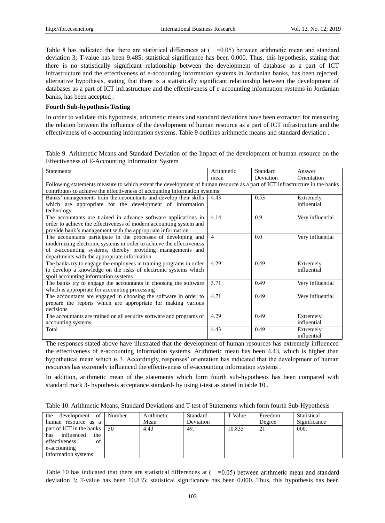Table 8 has indicated that there are statistical differences at  $($  =0.05) between arithmetic mean and standard deviation 3; T-value has been 9.485; statistical significance has been 0.000. Thus, this hypothesis, stating that there is no statistically significant relationship between the development of database as a part of ICT infrastructure and the effectiveness of e-accounting information systems in Jordanian banks, has been rejected; alternative hypothesis, stating that there is a statistically significant relationship between the development of databases as a part of ICT infrastructure and the effectiveness of e-accounting information systems in Jordanian banks, has been accepted .

## **Fourth Sub-hypothesis Testing**

In order to validate this hypothesis, arithmetic means and standard deviations have been extracted for measuring the relation between the influence of the development of human resource as a part of ICT infrastructure and the effectiveness of e-accounting information systems. Table 9 outlines arithmetic means and standard deviation .

Table 9. Arithmetic Means and Standard Deviation of the Impact of the development of human resource on the Effectiveness of E-Accounting Information System

| <b>Statements</b>                                                                                                           | Arithmetic | Standard  | Answer           |
|-----------------------------------------------------------------------------------------------------------------------------|------------|-----------|------------------|
|                                                                                                                             | mean       | Deviation | Orientation      |
| Following statements measure to which extent the development of human resource as a part of ICT infrastructure in the banks |            |           |                  |
| contributes to achieve the effectiveness of accounting information systems:                                                 |            |           |                  |
| Banks' managements train the accountants and develop their skills                                                           | 4.43       | 0.53      | Extremely        |
| which are appropriate for the development of information                                                                    |            |           | influential      |
| technology                                                                                                                  |            |           |                  |
| The accountants are trained in advance software applications in                                                             | 4.14       | 0.9       | Very influential |
| order to achieve the effectiveness of modern accounting system and                                                          |            |           |                  |
| provide bank's management with the appropriate information                                                                  |            |           |                  |
| The accountants participate in the processes of developing and                                                              | 4          | 0.0       | Very influential |
| modernizing electronic systems in order to achieve the effectiveness                                                        |            |           |                  |
| of e-accounting systems, thereby providing managements and                                                                  |            |           |                  |
| departments with the appropriate information                                                                                |            |           |                  |
| The banks try to engage the employees in training programs in order                                                         | 4.29       | 0.49      | Extremely        |
| to develop a knowledge on the risks of electronic systems which                                                             |            |           | influential      |
| spoil accounting information systems                                                                                        |            |           |                  |
| The banks try to engage the accountants in choosing the software                                                            | 3.71       | 0.49      | Very influential |
| which is appropriate for accounting processing                                                                              |            |           |                  |
| The accountants are engaged in choosing the software in order to                                                            | 4.71       | 0.49      | Very influential |
| prepare the reports which are appropriate for making various                                                                |            |           |                  |
| decisions                                                                                                                   |            |           |                  |
| The accountants are trained on all security software and programs of                                                        | 4.29       | 0.49      | Extremely        |
| accounting systems                                                                                                          |            |           | influential      |
| Total                                                                                                                       | 4.43       | 0.49      | Extremely        |
|                                                                                                                             |            |           | influential      |

The responses stated above have illustrated that the development of human resources has extremely influenced the effectiveness of e-accounting information systems. Arithmetic mean has been 4.43, which is higher than hypothetical mean which is 3. Accordingly, responses' orientation has indicated that the development of human resources has extremely influenced the effectiveness of e-accounting information systems .

In addition, arithmetic mean of the statements which form fourth sub-hypothesis has been compared with standard mark 3- hypothesis acceptance standard- by using t-test as stated in table 10 .

Table 10. Arithmetic Means, Standard Deviations and T-test of Statements which form fourth Sub-Hypothesis

| development of Number<br>the<br>human resource as a                                                                                    | Arithmetic<br>Mean | Standard<br>Deviation | T-Value | Freedom<br>Degree | Statistical<br>Significance |
|----------------------------------------------------------------------------------------------------------------------------------------|--------------------|-----------------------|---------|-------------------|-----------------------------|
| part of ICT in the banks $\vert 50 \rangle$<br>influenced<br>has<br>the<br>of<br>effectiveness<br>e-accounting<br>information systems: | 4.43               | 49.                   | 10.835  | 21                | 000.                        |

Table 10 has indicated that there are statistical differences at  $($  =0.05) between arithmetic mean and standard deviation 3; T-value has been 10.835; statistical significance has been 0.000. Thus, this hypothesis has been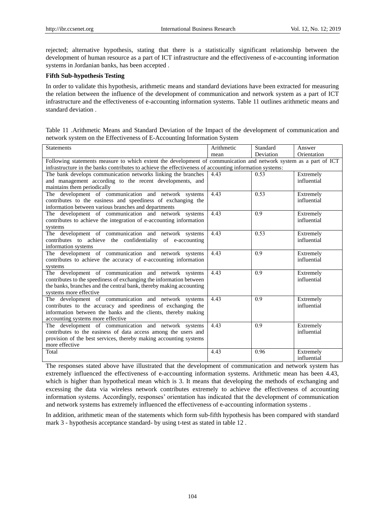rejected; alternative hypothesis, stating that there is a statistically significant relationship between the development of human resource as a part of ICT infrastructure and the effectiveness of e-accounting information systems in Jordanian banks, has been accepted .

# **Fifth Sub-hypothesis Testing**

In order to validate this hypothesis, arithmetic means and standard deviations have been extracted for measuring the relation between the influence of the development of communication and network system as a part of ICT infrastructure and the effectiveness of e-accounting information systems. Table 11 outlines arithmetic means and standard deviation .

| Table 11 .Arithmetic Means and Standard Deviation of the Impact of the development of communication and |  |
|---------------------------------------------------------------------------------------------------------|--|
| network system on the Effectiveness of E-Accounting Information System                                  |  |

| <b>Statements</b>                                                                                                 | Arithmetic | Standard  | Answer      |
|-------------------------------------------------------------------------------------------------------------------|------------|-----------|-------------|
|                                                                                                                   | mean       | Deviation | Orientation |
| Following statements measure to which extent the development of communication and network system as a part of ICT |            |           |             |
| infrastructure in the banks contributes to achieve the effectiveness of accounting information systems:           |            |           |             |
| The bank develops communication networks linking the branches                                                     | 4.43       | 0.53      | Extremely   |
| and management according to the recent developments, and                                                          |            |           | influential |
| maintains them periodically                                                                                       |            |           |             |
| The development of communication and network systems                                                              | 4.43       | 0.53      | Extremely   |
| contributes to the easiness and speediness of exchanging the                                                      |            |           | influential |
| information between various branches and departments                                                              |            |           |             |
| The development of communication and network systems                                                              | 4.43       | 0.9       | Extremely   |
| contributes to achieve the integration of e-accounting information                                                |            |           | influential |
| systems                                                                                                           |            |           |             |
| The development of communication and network systems                                                              | 4.43       | 0.53      | Extremely   |
| contributes to achieve the confidentiality of e-accounting                                                        |            |           | influential |
| information systems                                                                                               |            |           |             |
| The development of communication and network systems                                                              | 4.43       | 0.9       | Extremely   |
| contributes to achieve the accuracy of e-accounting information                                                   |            |           | influential |
| systems                                                                                                           |            |           |             |
| The development of communication and network systems                                                              | 4.43       | 0.9       | Extremely   |
| contributes to the speediness of exchanging the information between                                               |            |           | influential |
| the banks, branches and the central bank, thereby making accounting                                               |            |           |             |
| systems more effective                                                                                            |            |           |             |
| The development of communication and network systems                                                              | 4.43       | 0.9       | Extremely   |
| contributes to the accuracy and speediness of exchanging the                                                      |            |           | influential |
| information between the banks and the clients, thereby making                                                     |            |           |             |
| accounting systems more effective                                                                                 |            |           |             |
| The development of communication and network systems                                                              | 4.43       | 0.9       | Extremely   |
| contributes to the easiness of data access among the users and                                                    |            |           | influential |
| provision of the best services, thereby making accounting systems                                                 |            |           |             |
| more effective                                                                                                    |            |           |             |
| Total                                                                                                             | 4.43       | 0.96      | Extremely   |
|                                                                                                                   |            |           | influential |

The responses stated above have illustrated that the development of communication and network system has extremely influenced the effectiveness of e-accounting information systems. Arithmetic mean has been 4.43, which is higher than hypothetical mean which is 3. It means that developing the methods of exchanging and excessing the data via wireless network contributes extremely to achieve the effectiveness of accounting information systems. Accordingly, responses' orientation has indicated that the development of communication and network systems has extremely influenced the effectiveness of e-accounting information systems .

In addition, arithmetic mean of the statements which form sub-fifth hypothesis has been compared with standard mark 3 - hypothesis acceptance standard- by using t-test as stated in table 12 .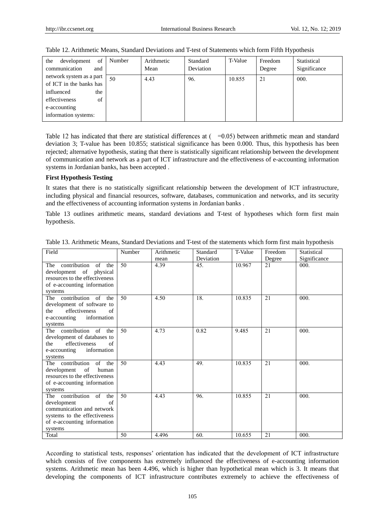| of<br>development<br>the<br>communication<br>and                                                                                        | Number | Arithmetic<br>Mean | Standard<br>Deviation | T-Value | Freedom<br>Degree | Statistical<br>Significance |
|-----------------------------------------------------------------------------------------------------------------------------------------|--------|--------------------|-----------------------|---------|-------------------|-----------------------------|
| network system as a part<br>of ICT in the banks has<br>influenced<br>the<br>effectiveness<br>of<br>e-accounting<br>information systems: | 50     | 4.43               | 96.                   | 10.855  | 21                | 000.                        |

#### Table 12. Arithmetic Means, Standard Deviations and T-test of Statements which form Fifth Hypothesis

Table 12 has indicated that there are statistical differences at  $($  =0.05) between arithmetic mean and standard deviation 3; T-value has been 10.855; statistical significance has been 0.000. Thus, this hypothesis has been rejected; alternative hypothesis, stating that there is statistically significant relationship between the development of communication and network as a part of ICT infrastructure and the effectiveness of e-accounting information systems in Jordanian banks, has been accepted .

#### **First Hypothesis Testing**

It states that there is no statistically significant relationship between the development of ICT infrastructure, including physical and financial resources, software, databases, communication and networks, and its security and the effectiveness of accounting information systems in Jordanian banks .

Table 13 outlines arithmetic means, standard deviations and T-test of hypotheses which form first main hypothesis.

| Field                                                                                                                                                  | Number | Arithmetic<br>mean | Standard<br>Deviation | T-Value | Freedom<br>Degree | Statistical<br>Significance |
|--------------------------------------------------------------------------------------------------------------------------------------------------------|--------|--------------------|-----------------------|---------|-------------------|-----------------------------|
| contribution<br>of the<br>The<br>development of physical<br>resources to the effectiveness<br>of e-accounting information<br>systems                   | 50     | 4.39               | 45.                   | 10.967  | 21                | 000.                        |
| The contribution of the<br>development of software to<br>effectiveness<br>of<br>the<br>information<br>e-accounting<br>systems                          | 50     | 4.50               | 18.                   | 10.835  | 21                | 000.                        |
| The contribution of the<br>development of databases to<br>effectiveness<br>of<br>the<br>information<br>e-accounting<br>systems                         | 50     | 4.73               | 0.82                  | 9.485   | 21                | 000.                        |
| The contribution of the<br>development of<br>human<br>resources to the effectiveness<br>of e-accounting information<br>systems                         | 50     | 4.43               | 49.                   | 10.835  | 21                | 000.                        |
| The contribution of<br>the<br>development<br>of<br>communication and network<br>systems to the effectiveness<br>of e-accounting information<br>systems | 50     | 4.43               | 96.                   | 10.855  | 21                | 000.                        |
| Total                                                                                                                                                  | 50     | 4.496              | 60.                   | 10.655  | 21                | 000.                        |

| Table 13. Arithmetic Means, Standard Deviations and T-test of the statements which form first main hypothesis |  |  |  |  |
|---------------------------------------------------------------------------------------------------------------|--|--|--|--|
|                                                                                                               |  |  |  |  |

According to statistical tests, responses' orientation has indicated that the development of ICT infrastructure which consists of five components has extremely influenced the effectiveness of e-accounting information systems. Arithmetic mean has been 4.496, which is higher than hypothetical mean which is 3. It means that developing the components of ICT infrastructure contributes extremely to achieve the effectiveness of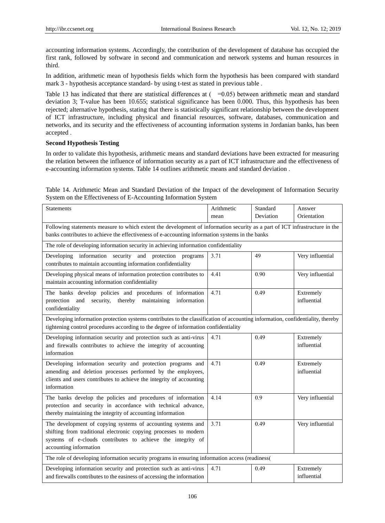accounting information systems. Accordingly, the contribution of the development of database has occupied the first rank, followed by software in second and communication and network systems and human resources in third.

In addition, arithmetic mean of hypothesis fields which form the hypothesis has been compared with standard mark 3 - hypothesis acceptance standard- by using t-test as stated in previous table .

Table 13 has indicated that there are statistical differences at  $($  =0.05) between arithmetic mean and standard deviation 3; T-value has been 10.655; statistical significance has been 0.000. Thus, this hypothesis has been rejected; alternative hypothesis, stating that there is statistically significant relationship between the development of ICT infrastructure, including physical and financial resources, software, databases, communication and networks, and its security and the effectiveness of accounting information systems in Jordanian banks, has been accepted .

## **Second Hypothesis Testing**

In order to validate this hypothesis, arithmetic means and standard deviations have been extracted for measuring the relation between the influence of information security as a part of ICT infrastructure and the effectiveness of e-accounting information systems. Table 14 outlines arithmetic means and standard deviation .

|  |  |                                                                |  |  | Table 14. Arithmetic Mean and Standard Deviation of the Impact of the development of Information Security |  |
|--|--|----------------------------------------------------------------|--|--|-----------------------------------------------------------------------------------------------------------|--|
|  |  | System on the Effectiveness of E-Accounting Information System |  |  |                                                                                                           |  |

| <b>Statements</b>                                                                                                                                                                                                              | Arithmetic<br>mean | Standard<br>Deviation | Answer<br>Orientation    |  |  |  |  |
|--------------------------------------------------------------------------------------------------------------------------------------------------------------------------------------------------------------------------------|--------------------|-----------------------|--------------------------|--|--|--|--|
| Following statements measure to which extent the development of information security as a part of ICT infrastructure in the<br>banks contributes to achieve the effectiveness of e-accounting information systems in the banks |                    |                       |                          |  |  |  |  |
| The role of developing information security in achieving information confidentiality                                                                                                                                           |                    |                       |                          |  |  |  |  |
| information security and<br>protection<br>Developing<br>programs<br>contributes to maintain accounting information confidentiality                                                                                             | 3.71               | 49                    | Very influential         |  |  |  |  |
| Developing physical means of information protection contributes to<br>maintain accounting information confidentiality                                                                                                          | 4.41               | 0.90                  | Very influential         |  |  |  |  |
| The banks develop policies and procedures of information<br>security,<br>thereby<br>maintaining<br>protection<br>and<br>information<br>confidentiality                                                                         | 4.71               | 0.49                  | Extremely<br>influential |  |  |  |  |
| Developing information protection systems contributes to the classification of accounting information, confidentiality, thereby<br>tightening control procedures according to the degree of information confidentiality        |                    |                       |                          |  |  |  |  |
| Developing information security and protection such as anti-virus<br>and firewalls contributes to achieve the integrity of accounting<br>information                                                                           | 4.71               | 0.49                  | Extremely<br>influential |  |  |  |  |
| Developing information security and protection programs and<br>amending and deletion processes performed by the employees,<br>clients and users contributes to achieve the integrity of accounting<br>information              | 4.71               | 0.49                  | Extremely<br>influential |  |  |  |  |
| The banks develop the policies and procedures of information<br>protection and security in accordance with technical advance,<br>thereby maintaining the integrity of accounting information                                   | 4.14               | 0.9                   | Very influential         |  |  |  |  |
| The development of copying systems of accounting systems and<br>shifting from traditional electronic copying processes to modern<br>systems of e-clouds contributes to achieve the integrity of<br>accounting information      | 3.71               | 0.49                  | Very influential         |  |  |  |  |
| The role of developing information security programs in ensuring information access (readiness)                                                                                                                                |                    |                       |                          |  |  |  |  |
| Developing information security and protection such as anti-virus<br>and firewalls contributes to the easiness of accessing the information                                                                                    | 4.71               | 0.49                  | Extremely<br>influential |  |  |  |  |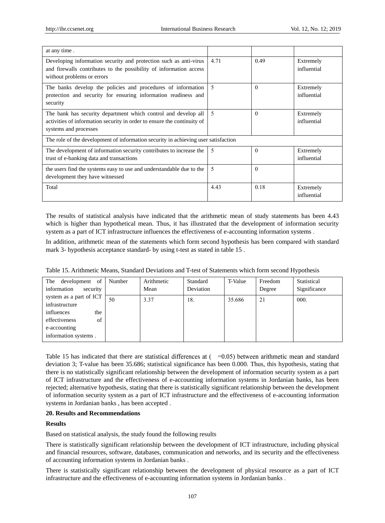| at any time.                                                                                                                                                          |      |          |                          |
|-----------------------------------------------------------------------------------------------------------------------------------------------------------------------|------|----------|--------------------------|
| Developing information security and protection such as anti-virus<br>and firewalls contributes to the possibility of information access<br>without problems or errors | 4.71 | 0.49     | Extremely<br>influential |
| The banks develop the policies and procedures of information<br>protection and security for ensuring information readiness and<br>security                            | 5    | $\theta$ | Extremely<br>influential |
| The bank has security department which control and develop all<br>activities of information security in order to ensure the continuity of<br>systems and processes    | 5    | $\theta$ | Extremely<br>influential |
| The role of the development of information security in achieving user satisfaction                                                                                    |      |          |                          |
| The development of information security contributes to increase the<br>trust of e-banking data and transactions                                                       | 5    | $\theta$ | Extremely<br>influential |
| the users find the systems easy to use and understandable due to the<br>development they have witnessed                                                               | 5    | $\theta$ |                          |
| Total                                                                                                                                                                 | 4.43 | 0.18     | Extremely<br>influential |

The results of statistical analysis have indicated that the arithmetic mean of study statements has been 4.43 which is higher than hypothetical mean. Thus, it has illustrated that the development of information security system as a part of ICT infrastructure influences the effectiveness of e-accounting information systems .

In addition, arithmetic mean of the statements which form second hypothesis has been compared with standard mark 3- hypothesis acceptance standard- by using t-test as stated in table 15 .

| development of<br>The<br>information<br>security         | Number | Arithmetic<br>Mean | Standard<br>Deviation | T-Value | Freedom<br>Degree | Statistical<br>Significance |
|----------------------------------------------------------|--------|--------------------|-----------------------|---------|-------------------|-----------------------------|
| system as a part of ICT<br>infrastructure                | 50     | 3.37               | 18.                   | 35.686  | 21                | 000.                        |
| influences<br>the<br>effectiveness<br>of<br>e-accounting |        |                    |                       |         |                   |                             |
| information systems.                                     |        |                    |                       |         |                   |                             |

Table 15. Arithmetic Means, Standard Deviations and T-test of Statements which form second Hypothesis

Table 15 has indicated that there are statistical differences at  $($  =0.05) between arithmetic mean and standard deviation 3; T-value has been 35.686; statistical significance has been 0.000. Thus, this hypothesis, stating that there is no statistically significant relationship between the development of information security system as a part of ICT infrastructure and the effectiveness of e-accounting information systems in Jordanian banks, has been rejected; alternative hypothesis, stating that there is statistically significant relationship between the development of information security system as a part of ICT infrastructure and the effectiveness of e-accounting information systems in Jordanian banks , has been accepted .

# **20. Results and Recommendations**

# **Results**

Based on statistical analysis, the study found the following results

There is statistically significant relationship between the development of ICT infrastructure, including physical and financial resources, software, databases, communication and networks, and its security and the effectiveness of accounting information systems in Jordanian banks .

There is statistically significant relationship between the development of physical resource as a part of ICT infrastructure and the effectiveness of e-accounting information systems in Jordanian banks .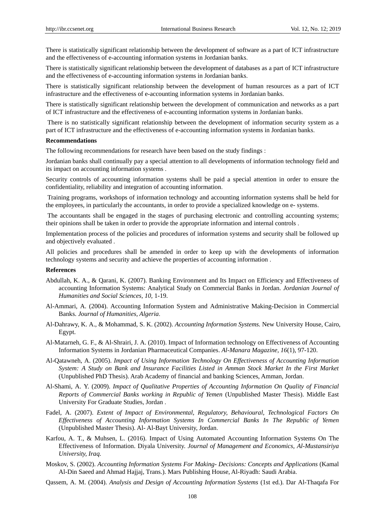There is statistically significant relationship between the development of software as a part of ICT infrastructure and the effectiveness of e-accounting information systems in Jordanian banks.

There is statistically significant relationship between the development of databases as a part of ICT infrastructure and the effectiveness of e-accounting information systems in Jordanian banks.

There is statistically significant relationship between the development of human resources as a part of ICT infrastructure and the effectiveness of e-accounting information systems in Jordanian banks.

There is statistically significant relationship between the development of communication and networks as a part of ICT infrastructure and the effectiveness of e-accounting information systems in Jordanian banks.

There is no statistically significant relationship between the development of information security system as a part of ICT infrastructure and the effectiveness of e-accounting information systems in Jordanian banks.

#### **Recommendations**

The following recommendations for research have been based on the study findings :

Jordanian banks shall continually pay a special attention to all developments of information technology field and its impact on accounting information systems .

Security controls of accounting information systems shall be paid a special attention in order to ensure the confidentiality, reliability and integration of accounting information.

Training programs, workshops of information technology and accounting information systems shall be held for the employees, in particularly the accountants, in order to provide a specialized knowledge on e- systems.

The accountants shall be engaged in the stages of purchasing electronic and controlling accounting systems; their opinions shall be taken in order to provide the appropriate information and internal controls .

Implementation process of the policies and procedures of information systems and security shall be followed up and objectively evaluated .

All policies and procedures shall be amended in order to keep up with the developments of information technology systems and security and achieve the properties of accounting information .

#### **References**

- Abdullah, K. A., & Qarani, K. (2007). Banking Environment and Its Impact on Efficiency and Effectiveness of accounting Information Systems: Analytical Study on Commercial Banks in Jordan. *Jordanian Journal of Humanities and Social Sciences, 10,* 1-19.
- Al-Ammari, A. (2004). Accounting Information System and Administrative Making-Decision in Commercial Banks. *Journal of Humanities, Algeria*.
- Al-Dahrawy, K. A., & Mohammad, S. K. (2002). *Accounting Information Systems.* New University House, Cairo, Egypt.
- Al-Matarneh, G. F., & Al-Shrairi, J. A. (2010). Impact of Information technology on Effectiveness of Accounting Information Systems in Jordanian Pharmaceutical Companies. *Al-Manara Magazine, 16*(1), 97-120.
- Al-Qatawneh, A. (2005). *Impact of Using Information Technology On Effectiveness of Accounting Information System: A Study on Bank and Insurance Facilities Listed in Amman Stock Market In the First Market* (Unpublished PhD Thesis). Arab Academy of financial and banking Sciences, Amman, Jordan.
- Al-Shami, A. Y. (2009). *Impact of Qualitative Properties of Accounting Information On Quality of Financial Reports of Commercial Banks working in Republic of Yemen* (Unpublished Master Thesis). Middle East University For Graduate Studies, Jordan .
- Fadel, A. (2007). *Extent of Impact of Environmental, Regulatory, Behavioural, Technological Factors On Effectiveness of Accounting Information Systems In Commercial Banks In The Republic of Yemen* (Unpublished Master Thesis). Al- Al-Bayt University, Jordan.
- Karfou, A. T., & Muhsen, L. (2016). Impact of Using Automated Accounting Information Systems On The Effectiveness of Information. Diyala University. *Journal of Management and Economics, Al-Mustansiriya University, Iraq.*
- Moskov, S. (2002). *Accounting Information Systems For Making- Decisions: Concepts and Applications* (Kamal Al-Din Saeed and Ahmad Hajjaj, Trans.). Mars Publishing House, Al-Riyadh: Saudi Arabia.
- Qassem, A. M. (2004). *Analysis and Design of Accounting Information Systems* (1st ed.). Dar Al-Thaqafa For